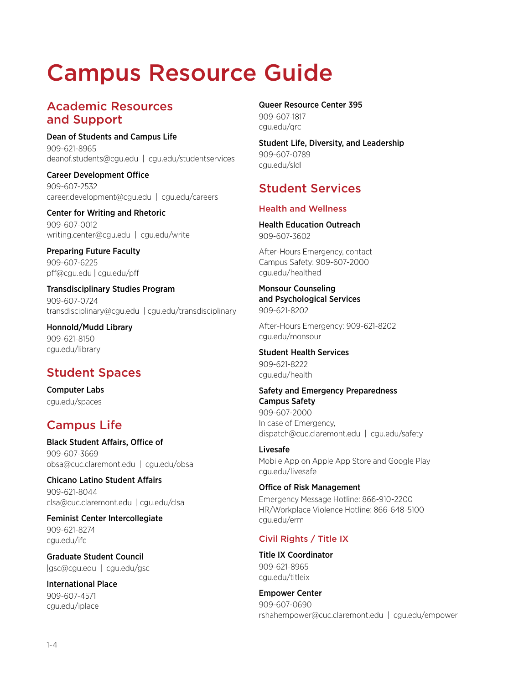# Campus Resource Guide

# Academic Resources and Support

Dean of Students and Campus Life 909-621-8965 deanof.students@cgu.edu | cgu.edu/studentservices

Career Development Office 909-607-2532 career.development@cgu.edu | cgu.edu/careers

Center for Writing and Rhetoric 909-607-0012 writing.center@cgu.edu | cgu.edu/write

Preparing Future Faculty 909-607-6225 pff@cgu.edu | cgu.edu/pff

Transdisciplinary Studies Program 909-607-0724 transdisciplinary@cgu.edu | cgu.edu/transdisciplinary

Honnold/Mudd Library 909-621-8150 cgu.edu/library

# Student Spaces

Computer Labs cgu.edu/spaces

# Campus Life

Black Student Affairs, Office of 909-607-3669 obsa@cuc.claremont.edu | cgu.edu/obsa

Chicano Latino Student Affairs 909-621-8044 clsa@cuc.claremont.edu | cgu.edu/clsa

Feminist Center Intercollegiate 909-621-8274 cgu.edu/ifc

Graduate Student Council |gsc@cgu.edu | cgu.edu/gsc

International Place 909-607-4571 cgu.edu/iplace

Queer Resource Center 395 909-607-1817 cgu.edu/qrc

Student Life, Diversity, and Leadership 909-607-0789 cgu.edu/sldl

# Student Services

#### Health and Wellness

Health Education Outreach 909-607-3602

After-Hours Emergency, contact Campus Safety: 909-607-2000 cgu.edu/healthed

#### Monsour Counseling and Psychological Services 909-621-8202

After-Hours Emergency: 909-621-8202 cgu.edu/monsour

## Student Health Services

909-621-8222 cgu.edu/health

## Safety and Emergency Preparedness Campus Safety

909-607-2000 In case of Emergency, dispatch@cuc.claremont.edu | cgu.edu/safety

#### Livesafe

Mobile App on Apple App Store and Google Play cgu.edu/livesafe

## Office of Risk Management

Emergency Message Hotline: 866-910-2200 HR/Workplace Violence Hotline: 866-648-5100 cgu.edu/erm

### Civil Rights / Title IX

Title IX Coordinator 909-621-8965 cgu.edu/titleix

Empower Center 909-607-0690 rshahempower@cuc.claremont.edu | cgu.edu/empower